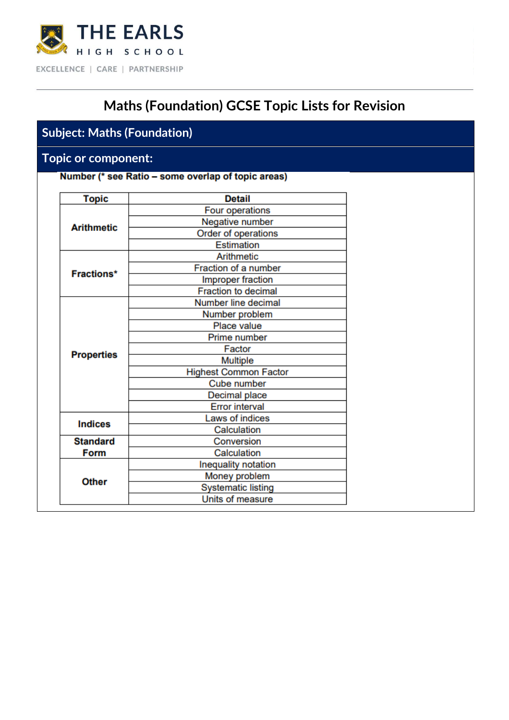

# **Maths (Foundation) GCSE Topic Lists for Revision**

## **Subject: Maths (Foundation)**

### **Topic or component:**

Number (\* see Ratio - some overlap of topic areas)

| <b>Topic</b>      | <b>Detail</b>                |
|-------------------|------------------------------|
|                   | Four operations              |
| <b>Arithmetic</b> | Negative number              |
|                   | Order of operations          |
|                   | Estimation                   |
|                   | Arithmetic                   |
| <b>Fractions*</b> | Fraction of a number         |
|                   | Improper fraction            |
|                   | <b>Fraction to decimal</b>   |
|                   | Number line decimal          |
|                   | Number problem               |
|                   | Place value                  |
|                   | Prime number                 |
| <b>Properties</b> | Factor                       |
|                   | <b>Multiple</b>              |
|                   | <b>Highest Common Factor</b> |
|                   | Cube number                  |
|                   | Decimal place                |
|                   | <b>Error interval</b>        |
| <b>Indices</b>    | Laws of indices              |
|                   | Calculation                  |
| <b>Standard</b>   | Conversion                   |
| <b>Form</b>       | Calculation                  |
|                   | Inequality notation          |
| <b>Other</b>      | Money problem                |
|                   | <b>Systematic listing</b>    |
|                   | Units of measure             |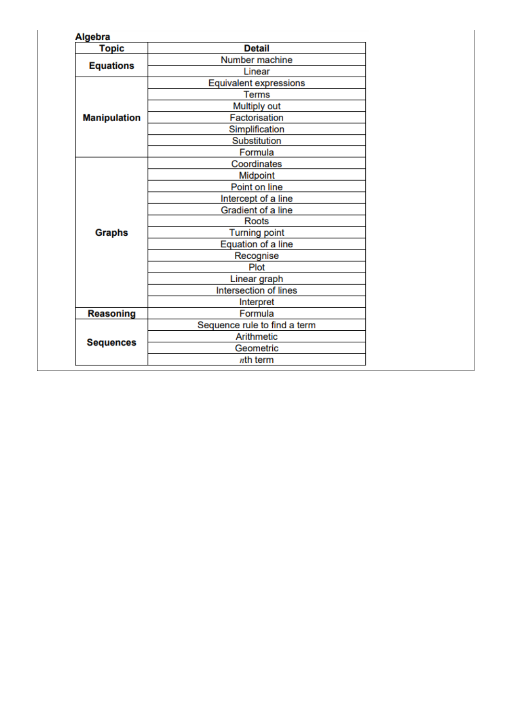| <b>Algebra</b>      |                               |  |
|---------------------|-------------------------------|--|
| <b>Topic</b>        | <b>Detail</b>                 |  |
| <b>Equations</b>    | Number machine                |  |
|                     | Linear                        |  |
|                     | <b>Equivalent expressions</b> |  |
|                     | <b>Terms</b>                  |  |
|                     | Multiply out                  |  |
| <b>Manipulation</b> | Factorisation                 |  |
|                     | Simplification                |  |
|                     | Substitution                  |  |
|                     | Formula                       |  |
|                     | Coordinates                   |  |
|                     | Midpoint                      |  |
|                     | Point on line                 |  |
|                     | Intercept of a line           |  |
|                     | Gradient of a line            |  |
|                     | <b>Roots</b>                  |  |
| <b>Graphs</b>       | <b>Turning point</b>          |  |
|                     | Equation of a line            |  |
|                     | Recognise                     |  |
|                     | Plot                          |  |
|                     | Linear graph                  |  |
|                     | Intersection of lines         |  |
|                     | Interpret                     |  |
| <b>Reasoning</b>    | Formula                       |  |
|                     | Sequence rule to find a term  |  |
|                     | Arithmetic                    |  |
| <b>Sequences</b>    | Geometric                     |  |
|                     | nth term                      |  |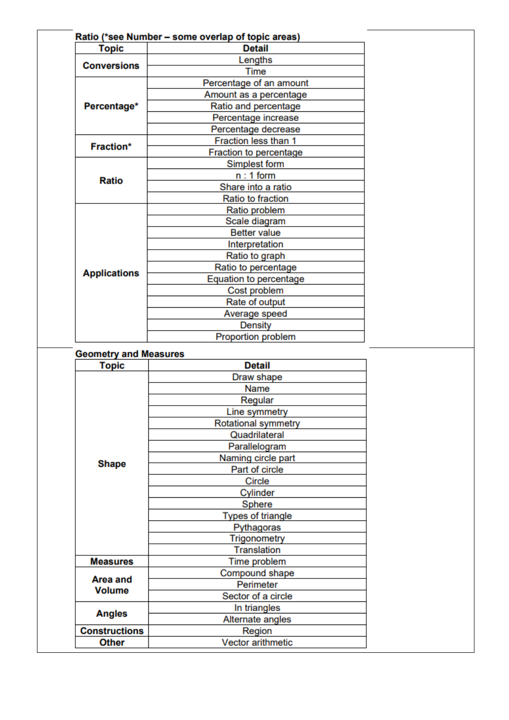| <b>Topic</b>        | Ratio (*see Number - some overlap of topic areas)<br><b>Detail</b> |  |
|---------------------|--------------------------------------------------------------------|--|
| <b>Conversions</b>  | Lengths                                                            |  |
|                     | Time                                                               |  |
|                     | Percentage of an amount                                            |  |
|                     | Amount as a percentage                                             |  |
| Percentage*         | Ratio and percentage                                               |  |
|                     | Percentage increase                                                |  |
|                     | Percentage decrease                                                |  |
| Fraction*           | Fraction less than 1                                               |  |
|                     | Fraction to percentage                                             |  |
|                     | Simplest form                                                      |  |
| <b>Ratio</b>        | $n:1$ form                                                         |  |
|                     | Share into a ratio                                                 |  |
|                     | Ratio to fraction                                                  |  |
|                     | Ratio problem                                                      |  |
|                     | Scale diagram                                                      |  |
|                     | <b>Better value</b>                                                |  |
|                     | Interpretation                                                     |  |
|                     | Ratio to graph                                                     |  |
| <b>Applications</b> | Ratio to percentage                                                |  |
|                     | Equation to percentage                                             |  |
|                     | Cost problem                                                       |  |
|                     | Rate of output                                                     |  |
|                     | Average speed                                                      |  |
|                     | <b>Density</b>                                                     |  |
|                     | Proportion problem                                                 |  |

#### **Geometry and Measures**

| <b>Topic</b>         | <b>Detail</b>            |
|----------------------|--------------------------|
|                      | Draw shape               |
|                      | Name                     |
|                      | Regular                  |
|                      | Line symmetry            |
|                      | Rotational symmetry      |
|                      | Quadrilateral            |
|                      | Parallelogram            |
|                      | Naming circle part       |
| <b>Shape</b>         | Part of circle           |
|                      | Circle                   |
|                      | Cylinder                 |
|                      | Sphere                   |
|                      | <b>Types of triangle</b> |
|                      | Pythagoras               |
|                      | Trigonometry             |
|                      | <b>Translation</b>       |
| <b>Measures</b>      | Time problem             |
| Area and             | Compound shape           |
| <b>Volume</b>        | Perimeter                |
|                      | Sector of a circle       |
| <b>Angles</b>        | In triangles             |
|                      | Alternate angles         |
| <b>Constructions</b> | Region                   |
| <b>Other</b>         | <b>Vector arithmetic</b> |